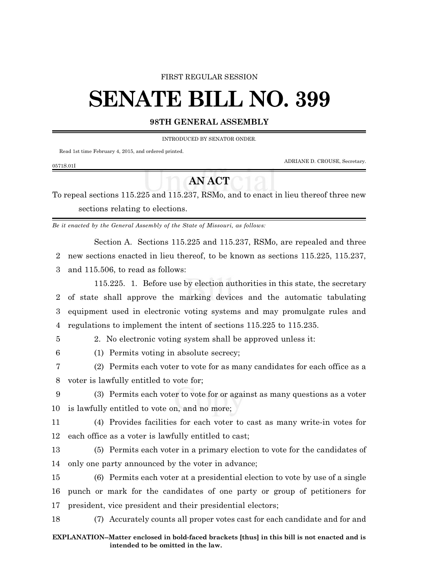## FIRST REGULAR SESSION

# **SENATE BILL NO. 399**

## **98TH GENERAL ASSEMBLY**

INTRODUCED BY SENATOR ONDER.

Read 1st time February 4, 2015, and ordered printed.

ADRIANE D. CROUSE, Secretary.

#### 0571S.01I

# **AN ACT**

To repeal sections 115.225 and 115.237, RSMo, and to enact in lieu thereof three new sections relating to elections.

*Be it enacted by the General Assembly of the State of Missouri, as follows:*

Section A. Sections 115.225 and 115.237, RSMo, are repealed and three 2 new sections enacted in lieu thereof, to be known as sections 115.225, 115.237,

3 and 115.506, to read as follows:

115.225. 1. Before use by election authorities in this state, the secretary of state shall approve the marking devices and the automatic tabulating equipment used in electronic voting systems and may promulgate rules and regulations to implement the intent of sections 115.225 to 115.235.

5 2. No electronic voting system shall be approved unless it:

6 (1) Permits voting in absolute secrecy;

7 (2) Permits each voter to vote for as many candidates for each office as a 8 voter is lawfully entitled to vote for;

9 (3) Permits each voter to vote for or against as many questions as a voter 10 is lawfully entitled to vote on, and no more;

11 (4) Provides facilities for each voter to cast as many write-in votes for 12 each office as a voter is lawfully entitled to cast;

13 (5) Permits each voter in a primary election to vote for the candidates of 14 only one party announced by the voter in advance;

15 (6) Permits each voter at a presidential election to vote by use of a single 16 punch or mark for the candidates of one party or group of petitioners for 17 president, vice president and their presidential electors;

18 (7) Accurately counts all proper votes cast for each candidate and for and

### **EXPLANATION--Matter enclosed in bold-faced brackets [thus] in this bill is not enacted and is intended to be omitted in the law.**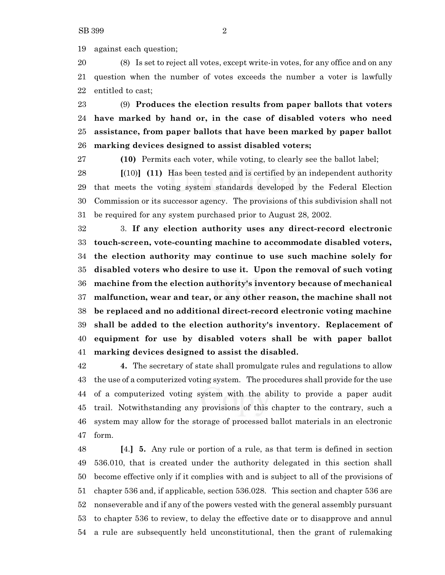against each question;

 (8) Is set to reject all votes, except write-in votes, for any office and on any question when the number of votes exceeds the number a voter is lawfully entitled to cast;

 (9) **Produces the election results from paper ballots that voters have marked by hand or, in the case of disabled voters who need assistance, from paper ballots that have been marked by paper ballot marking devices designed to assist disabled voters;**

**(10)** Permits each voter, while voting, to clearly see the ballot label;

 **[**(10)**] (11)** Has been tested and is certified by an independent authority that meets the voting system standards developed by the Federal Election Commission or its successor agency. The provisions of this subdivision shall not be required for any system purchased prior to August 28, 2002.

 3. **If any election authority uses any direct-record electronic touch-screen, vote-counting machine to accommodate disabled voters, the election authority may continue to use such machine solely for disabled voters who desire to use it. Upon the removal of such voting machine from the election authority's inventory because of mechanical malfunction, wear and tear, or any other reason, the machine shall not be replaced and no additional direct-record electronic voting machine shall be added to the election authority's inventory. Replacement of equipment for use by disabled voters shall be with paper ballot marking devices designed to assist the disabled.**

 **4.** The secretary of state shall promulgate rules and regulations to allow the use of a computerized voting system. The procedures shall provide for the use of a computerized voting system with the ability to provide a paper audit trail. Notwithstanding any provisions of this chapter to the contrary, such a system may allow for the storage of processed ballot materials in an electronic form.

 **[**4.**] 5.** Any rule or portion of a rule, as that term is defined in section 536.010, that is created under the authority delegated in this section shall become effective only if it complies with and is subject to all of the provisions of chapter 536 and, if applicable, section 536.028. This section and chapter 536 are nonseverable and if any of the powers vested with the general assembly pursuant to chapter 536 to review, to delay the effective date or to disapprove and annul a rule are subsequently held unconstitutional, then the grant of rulemaking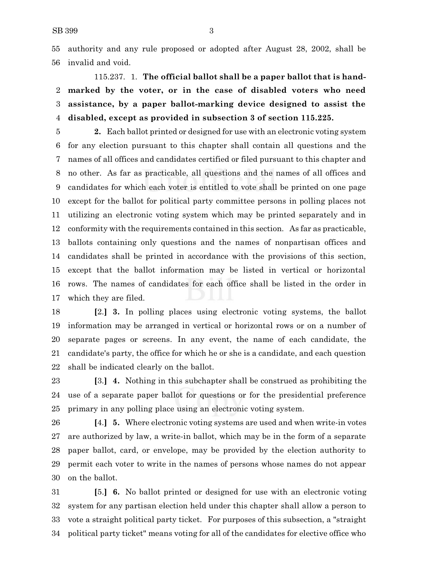authority and any rule proposed or adopted after August 28, 2002, shall be invalid and void.

# 115.237. 1. **The official ballot shall be a paper ballot that is hand- marked by the voter, or in the case of disabled voters who need assistance, by a paper ballot-marking device designed to assist the disabled, except as provided in subsection 3 of section 115.225.**

 **2.** Each ballot printed or designed for use with an electronic voting system for any election pursuant to this chapter shall contain all questions and the names of all offices and candidates certified or filed pursuant to this chapter and no other. As far as practicable, all questions and the names of all offices and candidates for which each voter is entitled to vote shall be printed on one page except for the ballot for political party committee persons in polling places not utilizing an electronic voting system which may be printed separately and in conformity with the requirements contained in this section. As far as practicable, ballots containing only questions and the names of nonpartisan offices and candidates shall be printed in accordance with the provisions of this section, except that the ballot information may be listed in vertical or horizontal rows. The names of candidates for each office shall be listed in the order in which they are filed.

 **[**2.**] 3.** In polling places using electronic voting systems, the ballot information may be arranged in vertical or horizontal rows or on a number of separate pages or screens. In any event, the name of each candidate, the candidate's party, the office for which he or she is a candidate, and each question shall be indicated clearly on the ballot.

 **[**3.**] 4.** Nothing in this subchapter shall be construed as prohibiting the use of a separate paper ballot for questions or for the presidential preference primary in any polling place using an electronic voting system.

 **[**4.**] 5.** Where electronic voting systems are used and when write-in votes are authorized by law, a write-in ballot, which may be in the form of a separate paper ballot, card, or envelope, may be provided by the election authority to permit each voter to write in the names of persons whose names do not appear on the ballot.

 **[**5.**] 6.** No ballot printed or designed for use with an electronic voting system for any partisan election held under this chapter shall allow a person to vote a straight political party ticket. For purposes of this subsection, a "straight political party ticket" means voting for all of the candidates for elective office who